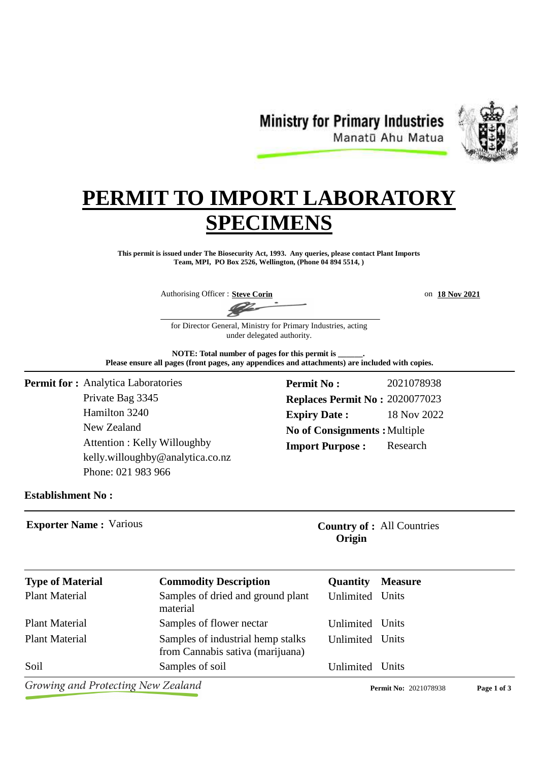**Ministry for Primary Industries** Manatū Ahu Matua



# **PERMIT TO IMPORT LABORATORY SPECIMENS**

**This permit is issued under The Biosecurity Act, 1993. Any queries, please contact Plant Imports Team, MPI, PO Box 2526, Wellington, (Phone 04 894 5514, )**

Authorising Officer : **Steve Corin by 2021 on 18 Nov 2021** 

for Director General, Ministry for Primary Industries, acting under delegated authority.

NOTE: Total number of pages for this permit is **Please ensure all pages (front pages, any appendices and attachments) are included with copies.**

**Permit for :** Analytica Laboratories **Permit No :** Private Bag 3345 Hamilton 3240 New Zealand Attention : Kelly Willoughby

Phone: 021 983 966

kelly.willoughby@analytica.co.nz

2021078938 **Expiry Date :** 18 Nov 2022 **Replaces Permit No :** 2020077023 **Import Purpose :** No of Consignments : Multiple Research

**Establishment No :**

### **Exporter Name :** Various

 **Origin**  Country of : All Countries

| <b>Type of Material</b> | <b>Commodity Description</b>                                          | <b>Quantity</b> | <b>Measure</b> |
|-------------------------|-----------------------------------------------------------------------|-----------------|----------------|
| <b>Plant Material</b>   | Samples of dried and ground plant<br>material                         | Unlimited       | Units          |
| <b>Plant Material</b>   | Samples of flower nectar                                              | Unlimited       | Units          |
| <b>Plant Material</b>   | Samples of industrial hemp stalks<br>from Cannabis sativa (marijuana) | Unlimited       | Units          |
| Soil                    | Samples of soil                                                       | Unlimited       | Units          |

Growing and Protecting New Zealand

**Permit No:** 2021078938 **Page 1 of 3**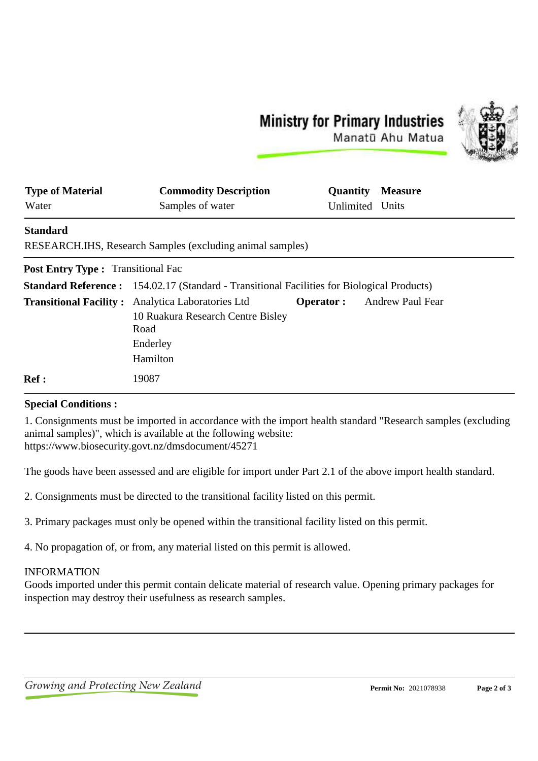# **Ministry for Primary Industries**



Manatū Ahu Matua

| <b>Type of Material</b>                  | <b>Commodity Description</b>                                                                                                                   | <b>Quantity</b> | <b>Measure</b> |  |
|------------------------------------------|------------------------------------------------------------------------------------------------------------------------------------------------|-----------------|----------------|--|
| Water                                    | Samples of water                                                                                                                               | Unlimited Units |                |  |
| <b>Standard</b>                          | RESEARCH.IHS, Research Samples (excluding animal samples)                                                                                      |                 |                |  |
| <b>Post Entry Type: Transitional Fac</b> |                                                                                                                                                |                 |                |  |
|                                          | <b>Standard Reference:</b> 154.02.17 (Standard - Transitional Facilities for Biological Products)                                              |                 |                |  |
| <b>Transitional Facility:</b>            | Analytica Laboratories Ltd<br><b>Andrew Paul Fear</b><br><b>Operator:</b><br>10 Ruakura Research Centre Bisley<br>Road<br>Enderley<br>Hamilton |                 |                |  |
| Ref:                                     | 19087                                                                                                                                          |                 |                |  |

### **Special Conditions :**

1. Consignments must be imported in accordance with the import health standard "Research samples (excluding animal samples)", which is available at the following website: https://www.biosecurity.govt.nz/dmsdocument/45271

The goods have been assessed and are eligible for import under Part 2.1 of the above import health standard.

2. Consignments must be directed to the transitional facility listed on this permit.

3. Primary packages must only be opened within the transitional facility listed on this permit.

4. No propagation of, or from, any material listed on this permit is allowed.

#### INFORMATION

Goods imported under this permit contain delicate material of research value. Opening primary packages for inspection may destroy their usefulness as research samples.